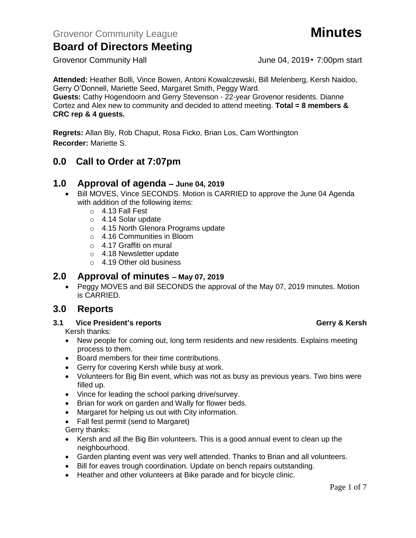Grovenor Community Hall Grovenor Community Hall June 04, 2019 • 7:00pm start

**Attended:** Heather Bolli, Vince Bowen, Antoni Kowalczewski, Bill Melenberg, Kersh Naidoo, Gerry O'Donnell, Mariette Seed, Margaret Smith, Peggy Ward.

**Guests:** Cathy Hogendoorn and Gerry Stevenson - 22-year Grovenor residents. Dianne Cortez and Alex new to community and decided to attend meeting. **Total = 8 members & CRC rep & 4 guests.**

**Regrets:** Allan Bly, Rob Chaput, Rosa Ficko, Brian Los, Cam Worthington **Recorder:** Mariette S.

## **0.0 Call to Order at 7:07pm**

### **1.0 Approval of agenda – June 04, 2019**

- Bill MOVES, Vince SECONDS. Motion is CARRIED to approve the June 04 Agenda with addition of the following items:
	- o 4.13 Fall Fest
	- o 4.14 Solar update
	- o 4.15 North Glenora Programs update
	- o 4.16 Communities in Bloom
	- o 4.17 Graffiti on mural
	- o 4.18 Newsletter update
	- o 4.19 Other old business

## **2.0 Approval of minutes – May 07, 2019**

• Peggy MOVES and Bill SECONDS the approval of the May 07, 2019 minutes. Motion is CARRIED.

## **3.0 Reports**

**3.1 Vice President's reports Gerry & Kersh** 

Kersh thanks:

- New people for coming out, long term residents and new residents. Explains meeting process to them.
- Board members for their time contributions.
- Gerry for covering Kersh while busy at work.
- Volunteers for Big Bin event, which was not as busy as previous years. Two bins were filled up.
- Vince for leading the school parking drive/survey.
- Brian for work on garden and Wally for flower beds.
- Margaret for helping us out with City information.
- Fall fest permit (send to Margaret)

Gerry thanks:

- Kersh and all the Big Bin volunteers. This is a good annual event to clean up the neighbourhood.
- Garden planting event was very well attended. Thanks to Brian and all volunteers.
- Bill for eaves trough coordination. Update on bench repairs outstanding.
- Heather and other volunteers at Bike parade and for bicycle clinic.

### Page 1 of 7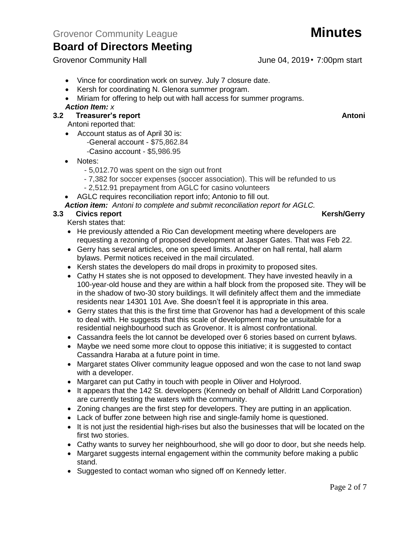Grovenor Community Hall Grovenor Community Hall June 04, 2019 • 7:00pm start

- Vince for coordination work on survey. July 7 closure date.
- Kersh for coordinating N. Glenora summer program.
- Miriam for offering to help out with hall access for summer programs.

### *Action Item: x*

### **3.2 Freasurer's report Antonic Structure Antonic Structure Antonic Antonic Antonic Antonic Antonic Antonic Antoni**

Antoni reported that:

- Account status as of April 30 is:
	- -General account \$75,862.84
	- -Casino account \$5,986.95

### • Notes:

- 5,012.70 was spent on the sign out front
- 7,382 for soccer expenses (soccer association). This will be refunded to us
- 2,512.91 prepayment from AGLC for casino volunteers
- AGLC requires reconciliation report info; Antonio to fill out.

*Action item: Antoni to complete and submit reconciliation report for AGLC.*

### **3.3** Civics report **Kersh/Gerry**

Kersh states that:

- He previously attended a Rio Can development meeting where developers are requesting a rezoning of proposed development at Jasper Gates. That was Feb 22.
- Gerry has several articles, one on speed limits. Another on hall rental, hall alarm bylaws. Permit notices received in the mail circulated.
- Kersh states the developers do mail drops in proximity to proposed sites.
- Cathy H states she is not opposed to development. They have invested heavily in a 100-year-old house and they are within a half block from the proposed site. They will be in the shadow of two-30 story buildings. It will definitely affect them and the immediate residents near 14301 101 Ave. She doesn't feel it is appropriate in this area.
- Gerry states that this is the first time that Grovenor has had a development of this scale to deal with. He suggests that this scale of development may be unsuitable for a residential neighbourhood such as Grovenor. It is almost confrontational.
- Cassandra feels the lot cannot be developed over 6 stories based on current bylaws.
- Maybe we need some more clout to oppose this initiative; it is suggested to contact Cassandra Haraba at a future point in time.
- Margaret states Oliver community league opposed and won the case to not land swap with a developer.
- Margaret can put Cathy in touch with people in Oliver and Holyrood.
- It appears that the 142 St. developers (Kennedy on behalf of Alldritt Land Corporation) are currently testing the waters with the community.
- Zoning changes are the first step for developers. They are putting in an application.
- Lack of buffer zone between high rise and single-family home is questioned.
- It is not just the residential high-rises but also the businesses that will be located on the first two stories.
- Cathy wants to survey her neighbourhood, she will go door to door, but she needs help.
- Margaret suggests internal engagement within the community before making a public stand.
- Suggested to contact woman who signed off on Kennedy letter.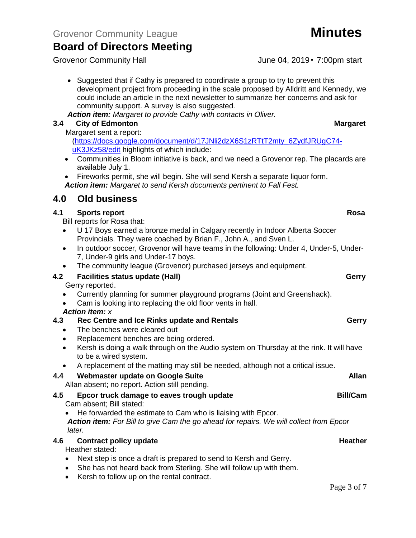Grovenor Community Hall June 04, 2019 • 7:00pm start

• Suggested that if Cathy is prepared to coordinate a group to try to prevent this development project from proceeding in the scale proposed by Alldritt and Kennedy, we could include an article in the next newsletter to summarize her concerns and ask for community support. A survey is also suggested.

*Action item: Margaret to provide Cathy with contacts in Oliver.*

### **3.4 City of Edmonton Margaret**

Margaret sent a report:

[\(https://docs.google.com/document/d/17JNli2dzX6S1zRTtT2mty\\_6ZydfJRUgC74](https://docs.google.com/document/d/17JNli2dzX6S1zRTtT2mty_6ZydfJRUgC74-uK3JKz58/edit) [uK3JKz58/edit](https://docs.google.com/document/d/17JNli2dzX6S1zRTtT2mty_6ZydfJRUgC74-uK3JKz58/edit) highlights of which include:

- Communities in Bloom initiative is back, and we need a Grovenor rep. The placards are available July 1.
- Fireworks permit, she will begin. She will send Kersh a separate liquor form. *Action item: Margaret to send Kersh documents pertinent to Fall Fest.*

## **4.0 Old business**

### **4.1** Sports report Rosa

Bill reports for Rosa that:

- U 17 Boys earned a bronze medal in Calgary recently in Indoor Alberta Soccer Provincials. They were coached by Brian F., John A., and Sven L.
- In outdoor soccer, Grovenor will have teams in the following: Under 4, Under-5, Under-7, Under-9 girls and Under-17 boys.
- The community league (Grovenor) purchased jerseys and equipment.

### **4.2 Facilities status update (Hall) Gerry**

Gerry reported.

- Currently planning for summer playground programs (Joint and Greenshack).
- Cam is looking into replacing the old floor vents in hall.
- *Action item: x*

### **4.3 Rec Centre and Ice Rinks update and Rentals Gerry**

- The benches were cleared out
- Replacement benches are being ordered.
- Kersh is doing a walk through on the Audio system on Thursday at the rink. It will have to be a wired system.
- A replacement of the matting may still be needed, although not a critical issue.

### **4.4 Webmaster update on Google Suite Allan**

Allan absent; no report. Action still pending.

## **4.5 Epcor truck damage to eaves trough update Bill/Cam**

Cam absent; Bill stated:

• He forwarded the estimate to Cam who is liaising with Epcor.

*Action item: For Bill to give Cam the go ahead for repairs. We will collect from Epcor later.*

### **4.6 Contract policy update Heather**

Heather stated:

- Next step is once a draft is prepared to send to Kersh and Gerry.
- She has not heard back from Sterling. She will follow up with them.
- Kersh to follow up on the rental contract.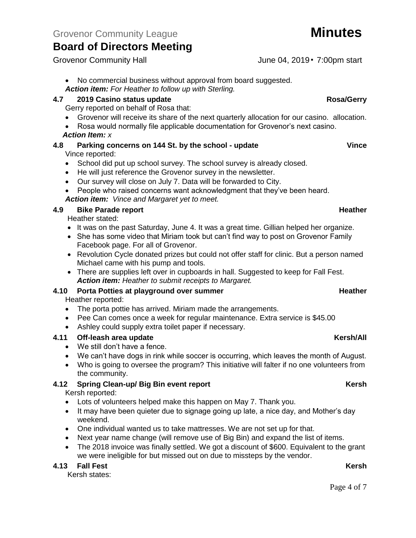Grovenor Community Hall Grovenor Community Hall June 04, 2019 • 7:00pm start

- No commercial business without approval from board suggested.
- *Action item: For Heather to follow up with Sterling.*

### **4.7 2019 Casino status update Rosa/Gerry**

- Gerry reported on behalf of Rosa that:
- Grovenor will receive its share of the next quarterly allocation for our casino. allocation.
- Rosa would normally file applicable documentation for Grovenor's next casino.

### *Action Item: x*

- **4.8 Parking concerns on 144 St. by the school - update Vince** Vince reported:
	- School did put up school survey. The school survey is already closed.
	- He will just reference the Grovenor survey in the newsletter.
	- Our survey will close on July 7. Data will be forwarded to City.
	- People who raised concerns want acknowledgment that they've been heard.

### *Action item: Vince and Margaret yet to meet.*

### **4.9 Bike Parade report All 2008 <b>Example 2.4.9 Heather Heather**

Heather stated:

- It was on the past Saturday, June 4. It was a great time. Gillian helped her organize.
- She has some video that Miriam took but can't find way to post on Grovenor Family Facebook page. For all of Grovenor.
- Revolution Cycle donated prizes but could not offer staff for clinic. But a person named Michael came with his pump and tools.
- There are supplies left over in cupboards in hall. Suggested to keep for Fall Fest. *Action item: Heather to submit receipts to Margaret.*

## **4.10 Porta Potties at playground over summer Heather Heather**

Heather reported:

- The porta pottie has arrived. Miriam made the arrangements.
- Pee Can comes once a week for regular maintenance. Extra service is \$45.00
- Ashley could supply extra toilet paper if necessary.

### **4.11 Off-leash area update Kersh/All**

- We still don't have a fence.
- We can't have dogs in rink while soccer is occurring, which leaves the month of August.
- Who is going to oversee the program? This initiative will falter if no one volunteers from the community.

### **4.12 Spring Clean-up/ Big Bin event report Construction Clean-X Rersh**

Kersh reported:

- Lots of volunteers helped make this happen on May 7. Thank you.
- It may have been quieter due to signage going up late, a nice day, and Mother's day weekend.
- One individual wanted us to take mattresses. We are not set up for that.
- Next year name change (will remove use of Big Bin) and expand the list of items.
- The 2018 invoice was finally settled. We got a discount of \$600. Equivalent to the grant we were ineligible for but missed out on due to missteps by the vendor.

### **4.13 Fall Fest Kersh**

Kersh states: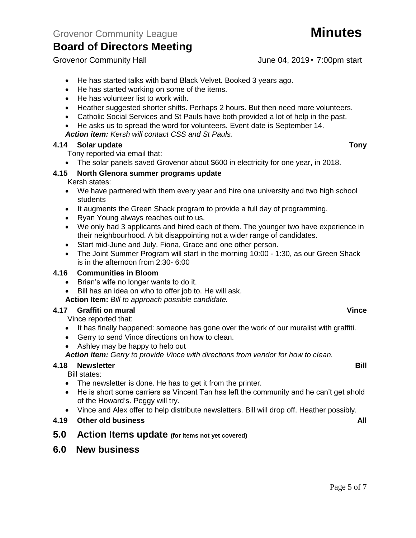Page 5 of 7

Grovenor Community Hall June 04, 2019 • 7:00pm start

- He has started talks with band Black Velvet. Booked 3 years ago.
- He has started working on some of the items.
- He has volunteer list to work with.
- Heather suggested shorter shifts. Perhaps 2 hours. But then need more volunteers.
- Catholic Social Services and St Pauls have both provided a lot of help in the past.
- He asks us to spread the word for volunteers. Event date is September 14.

*Action item: Kersh will contact CSS and St Pauls.*

### **4.14 Solar update Tony**

- Tony reported via email that:
- The solar panels saved Grovenor about \$600 in electricity for one year, in 2018.

### **4.15 North Glenora summer programs update**

Kersh states:

- We have partnered with them every year and hire one university and two high school students
- It augments the Green Shack program to provide a full day of programming.
- Ryan Young always reaches out to us.
- We only had 3 applicants and hired each of them. The younger two have experience in their neighbourhood. A bit disappointing not a wider range of candidates.
- Start mid-June and July. Fiona, Grace and one other person.
- The Joint Summer Program will start in the morning 10:00 1:30, as our Green Shack is in the afternoon from 2:30- 6:00

### **4.16 Communities in Bloom**

- Brian's wife no longer wants to do it.
- Bill has an idea on who to offer job to. He will ask.
- **Action Item:** *Bill to approach possible candidate.*

### **4.17 Graffiti on mural Vince**

Vince reported that:

- It has finally happened: someone has gone over the work of our muralist with graffiti.
- Gerry to send Vince directions on how to clean.
- Ashley may be happy to help out

*Action item: Gerry to provide Vince with directions from vendor for how to clean.*

### **4.18 Newsletter Bill**

Bill states:

- The newsletter is done. He has to get it from the printer.
- He is short some carriers as Vincent Tan has left the community and he can't get ahold of the Howard's. Peggy will try.
- Vince and Alex offer to help distribute newsletters. Bill will drop off. Heather possibly.
- **4.19 Other old business All**
- **5.0 Action Items update (for items not yet covered)**
- **6.0 New business**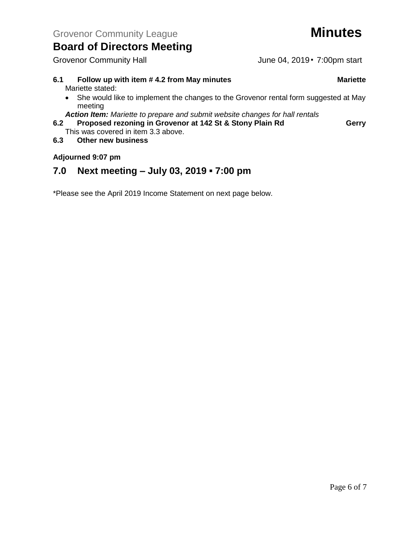### **6.1 Follow up with item # 4.2 from May minutes Mariette** Mariette stated:

• She would like to implement the changes to the Grovenor rental form suggested at May meeting

*Action Item: Mariette to prepare and submit website changes for hall rentals*

- **6.2 Proposed rezoning in Grovenor at 142 St & Stony Plain Rd Gerry** This was covered in item 3.3 above.
- **6.3 Other new business**

### **Adjourned 9:07 pm**

## **7.0 Next meeting – July 03, 2019 ▪ 7:00 pm**

\*Please see the April 2019 Income Statement on next page below.

Grovenor Community Hall June 04, 2019 • 7:00pm start